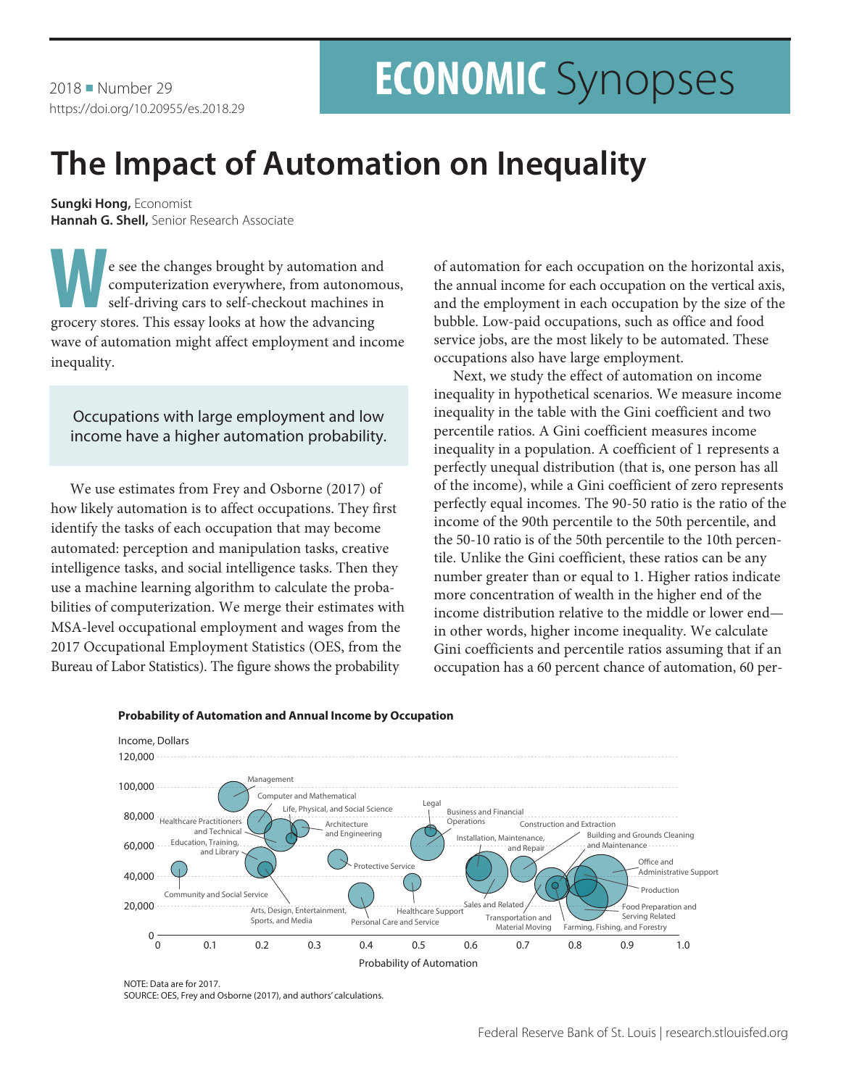2018 Number 29 https://doi.org/10.20955/es.2018.29

# **ECONOMIC** Synopses

## **The Impact of Automation on Inequality**

**Sungki Hong,** Economist **Hannah G. Shell,** Senior Research Associate

Example 18 and the changes brought by automation and computerization everywhere, from autonomo<br>self-driving cars to self-checkout machines in<br>grocery stores. This essay looks at how the advancing computerization everywhere, from autonomous, self-driving cars to self-checkout machines in grocery stores. This essay looks at how the advancing wave of automation might affect employment and income inequality.

Occupations with large employment and low income have a higher automation probability.

We use estimates from Frey and Osborne (2017) of how likely automation is to affect occupations. They first identify the tasks of each occupation that may become automated: perception and manipulation tasks, creative intelligence tasks, and social intelligence tasks. Then they use a machine learning algorithm to calculate the probabilities of computerization. We merge their estimates with MSA-level occupational employment and wages from the 2017 Occupational Employment Statistics (OES, from the Bureau of Labor Statistics). The figure shows the probability

of automation for each occupation on the horizontal axis, the annual income for each occupation on the vertical axis, and the employment in each occupation by the size of the bubble. Low-paid occupations, such as office and food service jobs, are the most likely to be automated. These occupations also have large employment.

Next, we study the effect of automation on income inequality in hypothetical scenarios. We measure income inequality in the table with the Gini coefficient and two percentile ratios. A Gini coefficient measures income inequality in a population. A coefficient of 1 represents a perfectly unequal distribution (that is, one person has all of the income), while a Gini coefficient of zero represents perfectly equal incomes. The 90-50 ratio is the ratio of the income of the 90th percentile to the 50th percentile, and the 50-10 ratio is of the 50th percentile to the 10th percentile. Unlike the Gini coefficient, these ratios can be any number greater than or equal to 1. Higher ratios indicate more concentration of wealth in the higher end of the income distribution relative to the middle or lower end in other words, higher income inequality. We calculate Gini coefficients and percentile ratios assuming that if an occupation has a 60 percent chance of automation, 60 per-



#### **Probability of Automation and Annual Income by Occupation**

NOTE: Data are for 2017. SOURCE: OES, Frey and Osborne (2017), and authors' calculations.